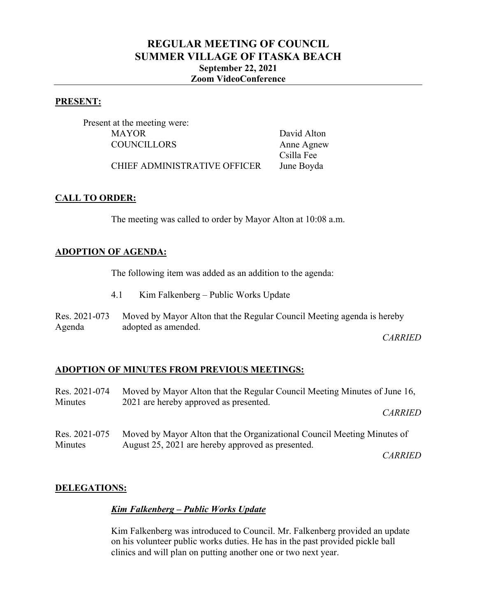# **REGULAR MEETING OF COUNCIL SUMMER VILLAGE OF ITASKA BEACH September 22, 2021 Zoom VideoConference**

#### **PRESENT:**

Present at the meeting were: MAYOR David Alton COUNCILLORS Anne Agnew

Csilla Fee

CHIEF ADMINISTRATIVE OFFICER June Boyda

#### **CALL TO ORDER:**

The meeting was called to order by Mayor Alton at 10:08 a.m.

#### **ADOPTION OF AGENDA:**

The following item was added as an addition to the agenda:

- 4.1 Kim Falkenberg Public Works Update
- Res. 2021-073 Agenda Moved by Mayor Alton that the Regular Council Meeting agenda is hereby adopted as amended.

*CARRIED*

#### **ADOPTION OF MINUTES FROM PREVIOUS MEETINGS:**

| Res. 2021-074 | Moved by Mayor Alton that the Regular Council Meeting Minutes of June 16, |  |
|---------------|---------------------------------------------------------------------------|--|
| Minutes       | 2021 are hereby approved as presented.                                    |  |
|               | <b>CARRIED</b>                                                            |  |
| Res. 2021-075 | Moved by Mayor Alton that the Organizational Council Meeting Minutes of   |  |
| Minutes       | August 25, 2021 are hereby approved as presented.                         |  |

*CARRIED*

#### **DELEGATIONS:**

#### *Kim Falkenberg – Public Works Update*

Kim Falkenberg was introduced to Council. Mr. Falkenberg provided an update on his volunteer public works duties. He has in the past provided pickle ball clinics and will plan on putting another one or two next year.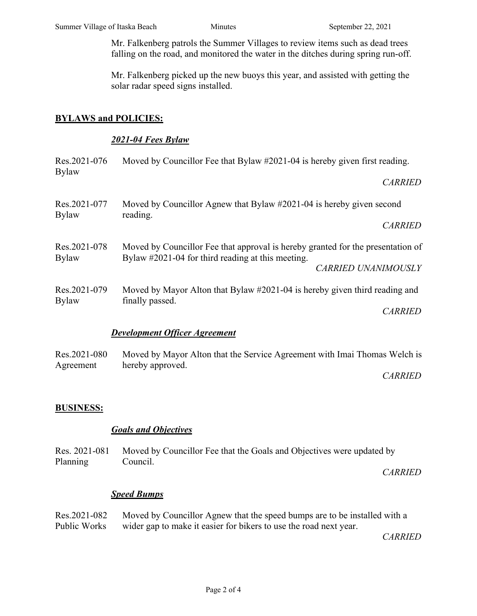Mr. Falkenberg patrols the Summer Villages to review items such as dead trees falling on the road, and monitored the water in the ditches during spring run-off.

Mr. Falkenberg picked up the new buoys this year, and assisted with getting the solar radar speed signs installed.

# **BYLAWS and POLICIES:**

### *2021-04 Fees Bylaw*

| Res.2021-076<br><b>Bylaw</b> | Moved by Councillor Fee that Bylaw #2021-04 is hereby given first reading.                                                                                         |
|------------------------------|--------------------------------------------------------------------------------------------------------------------------------------------------------------------|
|                              | <b>CARRIED</b>                                                                                                                                                     |
| Res.2021-077<br><b>Bylaw</b> | Moved by Councillor Agnew that Bylaw #2021-04 is hereby given second<br>reading.                                                                                   |
|                              | <b>CARRIED</b>                                                                                                                                                     |
| Res.2021-078<br><b>Bylaw</b> | Moved by Councillor Fee that approval is hereby granted for the presentation of<br>Bylaw #2021-04 for third reading at this meeting.<br><b>CARRIED UNANIMOUSLY</b> |
|                              |                                                                                                                                                                    |
|                              | <b>CARRIED</b>                                                                                                                                                     |
|                              | <b>Development Officer Agreement</b>                                                                                                                               |
| Res.2021-080<br>Agreement    | Moved by Mayor Alton that the Service Agreement with Imai Thomas Welch is<br>hereby approved.                                                                      |
|                              | <b>CARRIED</b>                                                                                                                                                     |
| <b>BUSINESS:</b>             |                                                                                                                                                                    |
|                              | <b>Goals and Objectives</b>                                                                                                                                        |

Res. 2021-081 Planning Moved by Councillor Fee that the Goals and Objectives were updated by Council.

*CARRIED*

# *Speed Bumps*

| Res.2021-082 | Moved by Councillor Agnew that the speed bumps are to be installed with a |
|--------------|---------------------------------------------------------------------------|
| Public Works | wider gap to make it easier for bikers to use the road next year.         |

*CARRIED*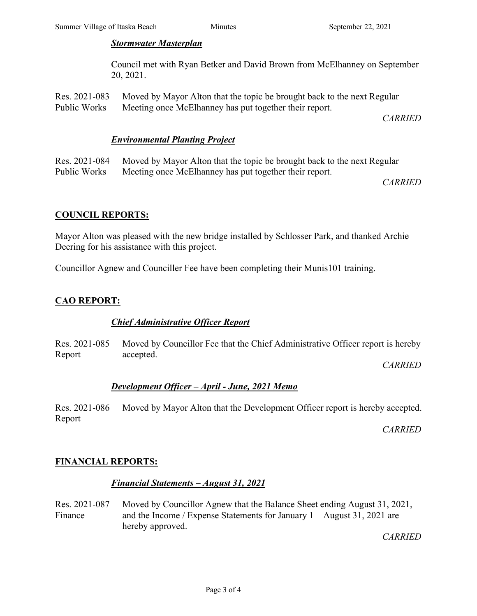#### *Stormwater Masterplan*

Council met with Ryan Betker and David Brown from McElhanney on September 20, 2021.

Res. 2021-083 Public Works Moved by Mayor Alton that the topic be brought back to the next Regular Meeting once McElhanney has put together their report.

*CARRIED*

### *Environmental Planting Project*

Res. 2021-084 Public Works Moved by Mayor Alton that the topic be brought back to the next Regular Meeting once McElhanney has put together their report.

*CARRIED*

#### **COUNCIL REPORTS:**

Mayor Alton was pleased with the new bridge installed by Schlosser Park, and thanked Archie Deering for his assistance with this project.

Councillor Agnew and Counciller Fee have been completing their Munis101 training.

# **CAO REPORT:**

# *Chief Administrative Officer Report*

Res. 2021-085 Report Moved by Councillor Fee that the Chief Administrative Officer report is hereby accepted.

*CARRIED*

#### *Development Officer – April - June, 2021 Memo*

Res. 2021-086 Report Moved by Mayor Alton that the Development Officer report is hereby accepted.

*CARRIED*

# **FINANCIAL REPORTS:**

#### *Financial Statements – August 31, 2021*

Res. 2021-087 Finance Moved by Councillor Agnew that the Balance Sheet ending August 31, 2021, and the Income / Expense Statements for January 1 – August 31, 2021 are hereby approved.

*CARRIED*